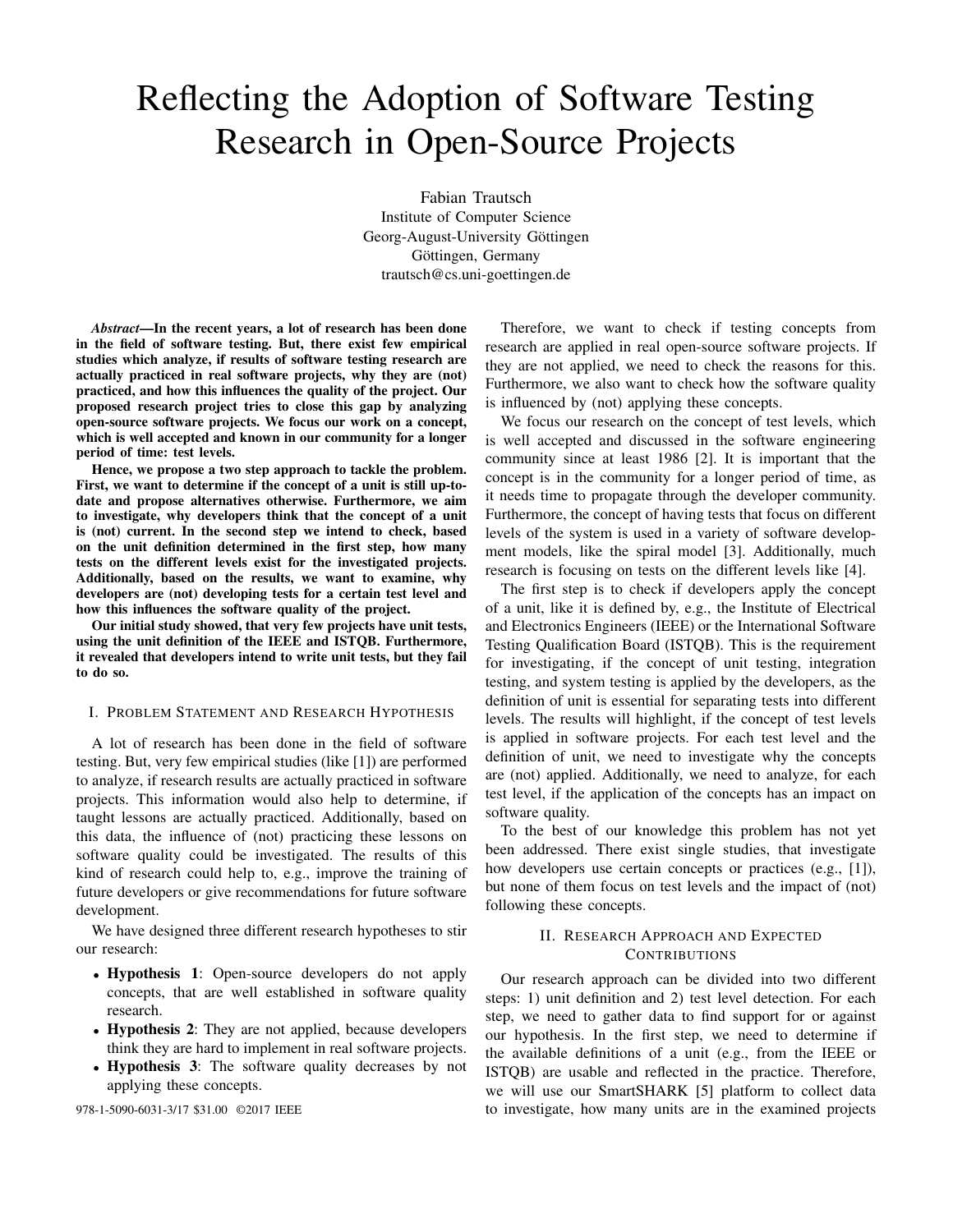# Reflecting the Adoption of Software Testing Research in Open-Source Projects

Fabian Trautsch Institute of Computer Science Georg-August-University Göttingen Göttingen, Germany trautsch@cs.uni-goettingen.de

*Abstract*—In the recent years, a lot of research has been done in the field of software testing. But, there exist few empirical studies which analyze, if results of software testing research are actually practiced in real software projects, why they are (not) practiced, and how this influences the quality of the project. Our proposed research project tries to close this gap by analyzing open-source software projects. We focus our work on a concept, which is well accepted and known in our community for a longer period of time: test levels.

Hence, we propose a two step approach to tackle the problem. First, we want to determine if the concept of a unit is still up-todate and propose alternatives otherwise. Furthermore, we aim to investigate, why developers think that the concept of a unit is (not) current. In the second step we intend to check, based on the unit definition determined in the first step, how many tests on the different levels exist for the investigated projects. Additionally, based on the results, we want to examine, why developers are (not) developing tests for a certain test level and how this influences the software quality of the project.

Our initial study showed, that very few projects have unit tests, using the unit definition of the IEEE and ISTQB. Furthermore, it revealed that developers intend to write unit tests, but they fail to do so.

## I. PROBLEM STATEMENT AND RESEARCH HYPOTHESIS

A lot of research has been done in the field of software testing. But, very few empirical studies (like [1]) are performed to analyze, if research results are actually practiced in software projects. This information would also help to determine, if taught lessons are actually practiced. Additionally, based on this data, the influence of (not) practicing these lessons on software quality could be investigated. The results of this kind of research could help to, e.g., improve the training of future developers or give recommendations for future software development.

We have designed three different research hypotheses to stir our research:

- Hypothesis 1: Open-source developers do not apply concepts, that are well established in software quality research.
- Hypothesis 2: They are not applied, because developers think they are hard to implement in real software projects.
- Hypothesis 3: The software quality decreases by not applying these concepts.

Therefore, we want to check if testing concepts from research are applied in real open-source software projects. If they are not applied, we need to check the reasons for this. Furthermore, we also want to check how the software quality is influenced by (not) applying these concepts.

We focus our research on the concept of test levels, which is well accepted and discussed in the software engineering community since at least 1986 [2]. It is important that the concept is in the community for a longer period of time, as it needs time to propagate through the developer community. Furthermore, the concept of having tests that focus on different levels of the system is used in a variety of software development models, like the spiral model [3]. Additionally, much research is focusing on tests on the different levels like [4].

The first step is to check if developers apply the concept of a unit, like it is defined by, e.g., the Institute of Electrical and Electronics Engineers (IEEE) or the International Software Testing Qualification Board (ISTQB). This is the requirement for investigating, if the concept of unit testing, integration testing, and system testing is applied by the developers, as the definition of unit is essential for separating tests into different levels. The results will highlight, if the concept of test levels is applied in software projects. For each test level and the definition of unit, we need to investigate why the concepts are (not) applied. Additionally, we need to analyze, for each test level, if the application of the concepts has an impact on software quality.

To the best of our knowledge this problem has not yet been addressed. There exist single studies, that investigate how developers use certain concepts or practices (e.g., [1]), but none of them focus on test levels and the impact of (not) following these concepts.

# II. RESEARCH APPROACH AND EXPECTED **CONTRIBUTIONS**

Our research approach can be divided into two different steps: 1) unit definition and 2) test level detection. For each step, we need to gather data to find support for or against our hypothesis. In the first step, we need to determine if the available definitions of a unit (e.g., from the IEEE or ISTQB) are usable and reflected in the practice. Therefore, we will use our SmartSHARK [5] platform to collect data 978-1-5090-6031-3/17 \$31.00 ©2017 IEEE to investigate, how many units are in the examined projects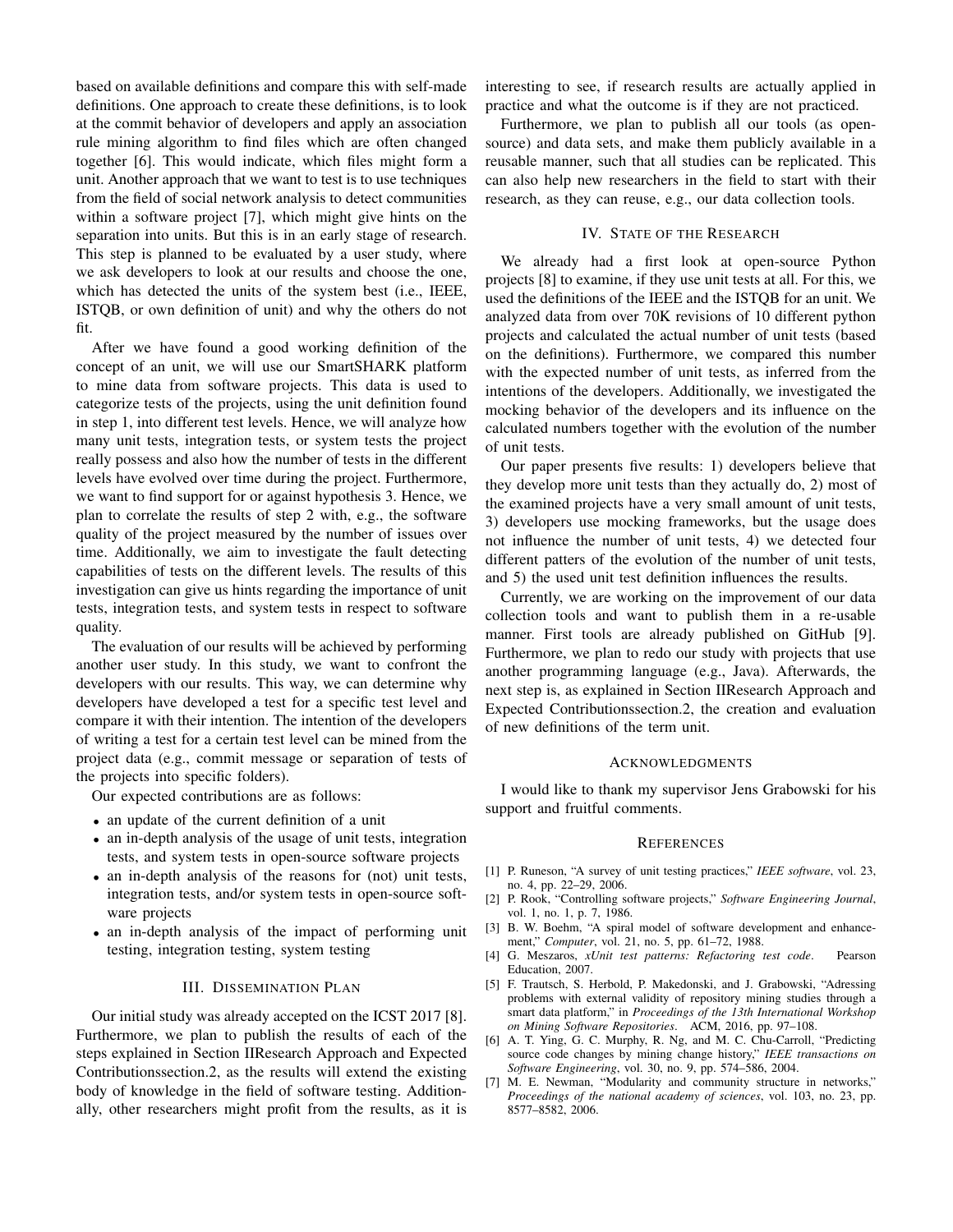based on available definitions and compare this with self-made definitions. One approach to create these definitions, is to look at the commit behavior of developers and apply an association rule mining algorithm to find files which are often changed together [6]. This would indicate, which files might form a unit. Another approach that we want to test is to use techniques from the field of social network analysis to detect communities within a software project [7], which might give hints on the separation into units. But this is in an early stage of research. This step is planned to be evaluated by a user study, where we ask developers to look at our results and choose the one, which has detected the units of the system best (i.e., IEEE, ISTQB, or own definition of unit) and why the others do not fit.

After we have found a good working definition of the concept of an unit, we will use our SmartSHARK platform to mine data from software projects. This data is used to categorize tests of the projects, using the unit definition found in step 1, into different test levels. Hence, we will analyze how many unit tests, integration tests, or system tests the project really possess and also how the number of tests in the different levels have evolved over time during the project. Furthermore, we want to find support for or against hypothesis 3. Hence, we plan to correlate the results of step 2 with, e.g., the software quality of the project measured by the number of issues over time. Additionally, we aim to investigate the fault detecting capabilities of tests on the different levels. The results of this investigation can give us hints regarding the importance of unit tests, integration tests, and system tests in respect to software quality.

The evaluation of our results will be achieved by performing another user study. In this study, we want to confront the developers with our results. This way, we can determine why developers have developed a test for a specific test level and compare it with their intention. The intention of the developers of writing a test for a certain test level can be mined from the project data (e.g., commit message or separation of tests of the projects into specific folders).

Our expected contributions are as follows:

- an update of the current definition of a unit
- an in-depth analysis of the usage of unit tests, integration tests, and system tests in open-source software projects
- an in-depth analysis of the reasons for (not) unit tests, integration tests, and/or system tests in open-source software projects
- an in-depth analysis of the impact of performing unit testing, integration testing, system testing

#### III. DISSEMINATION PLAN

Our initial study was already accepted on the ICST 2017 [8]. Furthermore, we plan to publish the results of each of the steps explained in Section IIResearch Approach and Expected Contributionssection.2, as the results will extend the existing body of knowledge in the field of software testing. Additionally, other researchers might profit from the results, as it is

interesting to see, if research results are actually applied in practice and what the outcome is if they are not practiced.

Furthermore, we plan to publish all our tools (as opensource) and data sets, and make them publicly available in a reusable manner, such that all studies can be replicated. This can also help new researchers in the field to start with their research, as they can reuse, e.g., our data collection tools.

## IV. STATE OF THE RESEARCH

We already had a first look at open-source Python projects [8] to examine, if they use unit tests at all. For this, we used the definitions of the IEEE and the ISTQB for an unit. We analyzed data from over 70K revisions of 10 different python projects and calculated the actual number of unit tests (based on the definitions). Furthermore, we compared this number with the expected number of unit tests, as inferred from the intentions of the developers. Additionally, we investigated the mocking behavior of the developers and its influence on the calculated numbers together with the evolution of the number of unit tests.

Our paper presents five results: 1) developers believe that they develop more unit tests than they actually do, 2) most of the examined projects have a very small amount of unit tests, 3) developers use mocking frameworks, but the usage does not influence the number of unit tests, 4) we detected four different patters of the evolution of the number of unit tests, and 5) the used unit test definition influences the results.

Currently, we are working on the improvement of our data collection tools and want to publish them in a re-usable manner. First tools are already published on GitHub [9]. Furthermore, we plan to redo our study with projects that use another programming language (e.g., Java). Afterwards, the next step is, as explained in Section IIResearch Approach and Expected Contributionssection.2, the creation and evaluation of new definitions of the term unit.

#### ACKNOWLEDGMENTS

I would like to thank my supervisor Jens Grabowski for his support and fruitful comments.

#### **REFERENCES**

- [1] P. Runeson, "A survey of unit testing practices," *IEEE software*, vol. 23, no. 4, pp. 22–29, 2006.
- [2] P. Rook, "Controlling software projects," *Software Engineering Journal*, vol. 1, no. 1, p. 7, 1986.
- [3] B. W. Boehm, "A spiral model of software development and enhancement," *Computer*, vol. 21, no. 5, pp. 61–72, 1988.
- [4] G. Meszaros, *xUnit test patterns: Refactoring test code*. Pearson Education, 2007.
- [5] F. Trautsch, S. Herbold, P. Makedonski, and J. Grabowski, "Adressing problems with external validity of repository mining studies through a smart data platform," in *Proceedings of the 13th International Workshop on Mining Software Repositories*. ACM, 2016, pp. 97–108.
- [6] A. T. Ying, G. C. Murphy, R. Ng, and M. C. Chu-Carroll, "Predicting source code changes by mining change history," *IEEE transactions on Software Engineering*, vol. 30, no. 9, pp. 574–586, 2004.
- [7] M. E. Newman, "Modularity and community structure in networks," *Proceedings of the national academy of sciences*, vol. 103, no. 23, pp. 8577–8582, 2006.